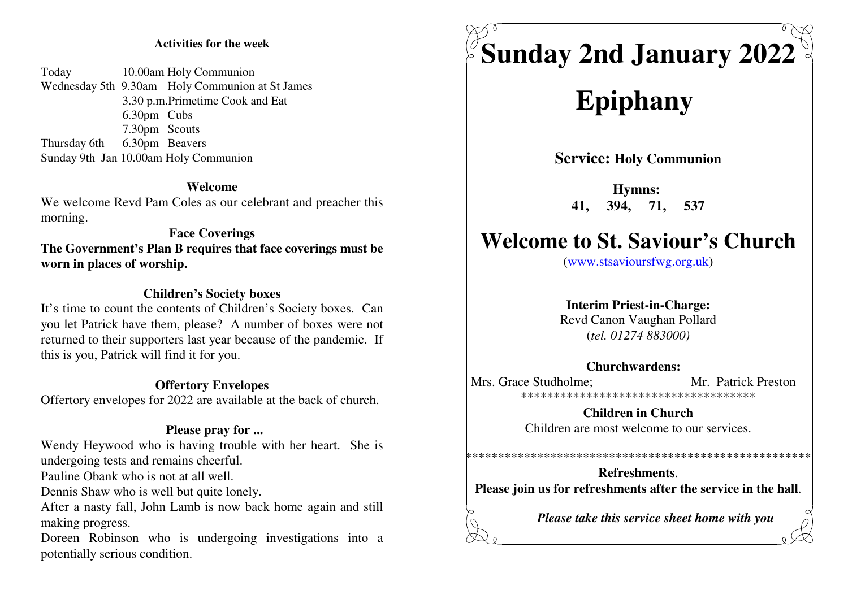### **Activities for the week**

Today 10.00am Holy Communion Wednesday 5th 9.30am Holy Communion at St James3.30 p.m.Primetime Cook and Eat 6.30pm Cubs 7.30pm Scouts Thursday 6th 6.30pm BeaversSunday 9th Jan 10.00am Holy Communion

#### **Welcome**

 We welcome Revd Pam Coles as our celebrant and preacher thismorning.

# **Face Coverings The Government's Plan B requires that face coverings must beworn in places of worship.**

### **Children's Society boxes**

 It's time to count the contents of Children's Society boxes. Can you let Patrick have them, please? A number of boxes were not returned to their supporters last year because of the pandemic. Ifthis is you, Patrick will find it for you.

#### **Offertory Envelopes**

Offertory envelopes for 2022 are available at the back of church.

#### **Please pray for ...**

 Wendy Heywood who is having trouble with her heart. She isundergoing tests and remains cheerful.

Pauline Obank who is not at all well.

Dennis Shaw who is well but quite lonely.

After a nasty fall, John Lamb is now back home again and stillmaking progress.

Doreen Robinson who is undergoing investigations into apotentially serious condition.



# **Epiphany**

**Service: Holy Communion**

**Hymns: 41, 394, 71, 537**

# **Welcome to St. Saviour's Church**

(www.stsavioursfwg.org.uk)

#### **Interim Priest-in-Charge:**

 Revd Canon Vaughan Pollard(*tel. 01274 883000)*

#### **Churchwardens:**

Mrs. Grace Studholme: Mr. Patrick Preston \*\*\*\*\*\*\*\*\*\*\*\*\*\*\*\*\*\*\*\*\*\*\*\*\*\*\*\*\*\*\*\*\*\*\*\*

> **Children in Church**Children are most welcome to our services.

**Refreshments**.**Please join us for refreshments after the service in the hall**.

\*\*\*\*\*\*\*\*\*\*\*\*\*\*\*\*\*\*\*\*\*\*\*\*\*\*\*\*\*\*\*\*\*\*\*\*\*\*\*\*\*\*\*\*\*\*\*\*\*\*\*\*\*

*Please take this service sheet home with you*